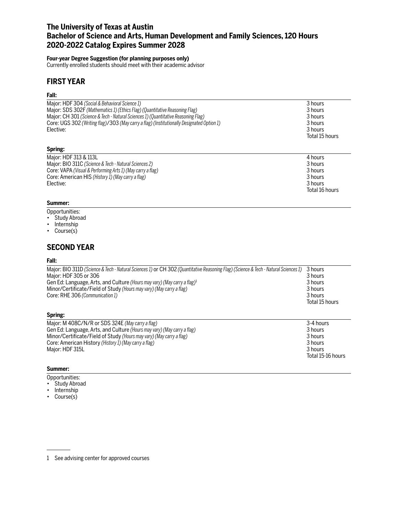# **The University of Texas at Austin Bachelor of Science and Arts, Human Development and Family Sciences, 120 Hours 2020-2022 Catalog Expires Summer 2028**

## **Four-year Degree Suggestion (for planning purposes only)**

Currently enrolled students should meet with their academic advisor

# **FIRST YEAR**

## **Fall:**

| 3 hours<br>3 hours<br>3 hours<br>3 hours<br>Total 15 hours            |
|-----------------------------------------------------------------------|
|                                                                       |
| 4 hours<br>3 hours<br>3 hours<br>3 hours<br>3 hours<br>Total 16 hours |
|                                                                       |

## **Summer:**

- Opportunities:
- Study Abroad
- Internship
- Course(s)

# **SECOND YEAR**

### **Fall:**

| Major: BIO 311D (Science & Tech - Natural Sciences 1) or CH 302 (Quantitative Reasoning Flag) (Science & Tech - Natural Sciences 1) | 3 hours        |
|-------------------------------------------------------------------------------------------------------------------------------------|----------------|
| Major: HDF 305 or 306                                                                                                               | 3 hours        |
| Gen Ed: Language, Arts, and Culture (Hours may vary) (May carry a flag) <sup>1</sup>                                                | 3 hours        |
| Minor/Certificate/Field of Study (Hours may vary) (May carry a flag)                                                                | 3 hours        |
| Core: RHE 306 (Communication 1)                                                                                                     | 3 hours        |
|                                                                                                                                     | Total 15 hours |
|                                                                                                                                     |                |
| Spring:                                                                                                                             |                |
| Major: M 408C/N/R or SDS 324E (May carry a flag)                                                                                    | 3-4 hours      |
| Gen Ed: Language, Arts, and Culture (Hours may vary) (May carry a flag)                                                             | 3 hours        |
|                                                                                                                                     |                |
| Minor/Certificate/Field of Study (Hours may vary) (May carry a flag)                                                                | 3 hours        |
| Core: American History (History 1) (May carry a flag)                                                                               | 3 hours        |

Total 15-16 hours

### **Summer:**

- Opportunities:
- Study Abroad
- Internship
- Course(s)

<sup>1</sup> See advising center for approved courses